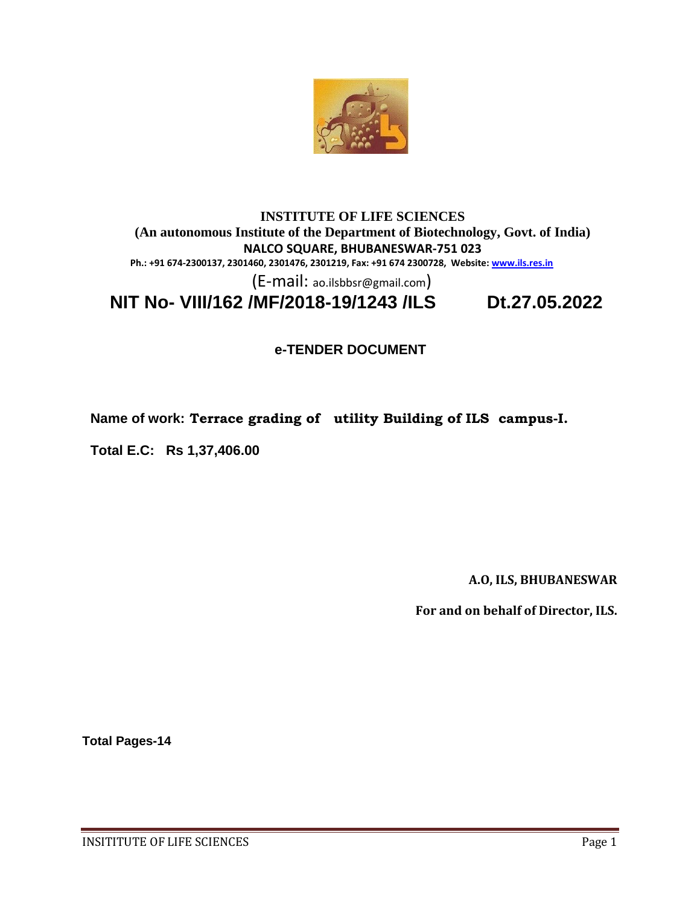

#### **INSTITUTE OF LIFE SCIENCES (An autonomous Institute of the Department of Biotechnology, Govt. of India) NALCO SQUARE, BHUBANESWAR-751 023 Ph.: +91 674-2300137, 2301460, 2301476, 2301219, Fax: +91 674 2300728, Website[: www.ils.res.in](http://www.ils.res.in/)**

(E-mail: ao.ilsbbsr@gmail.com)

 **NIT No- VIII/162 /MF/2018-19/1243 /ILS Dt.27.05.2022**

## **e-TENDER DOCUMENT**

**Name of work: Terrace grading of utility Building of ILS campus-I.**

**Total E.C: Rs 1,37,406.00**

**A.O, ILS, BHUBANESWAR**

**For and on behalf of Director, ILS.**

**Total Pages-14**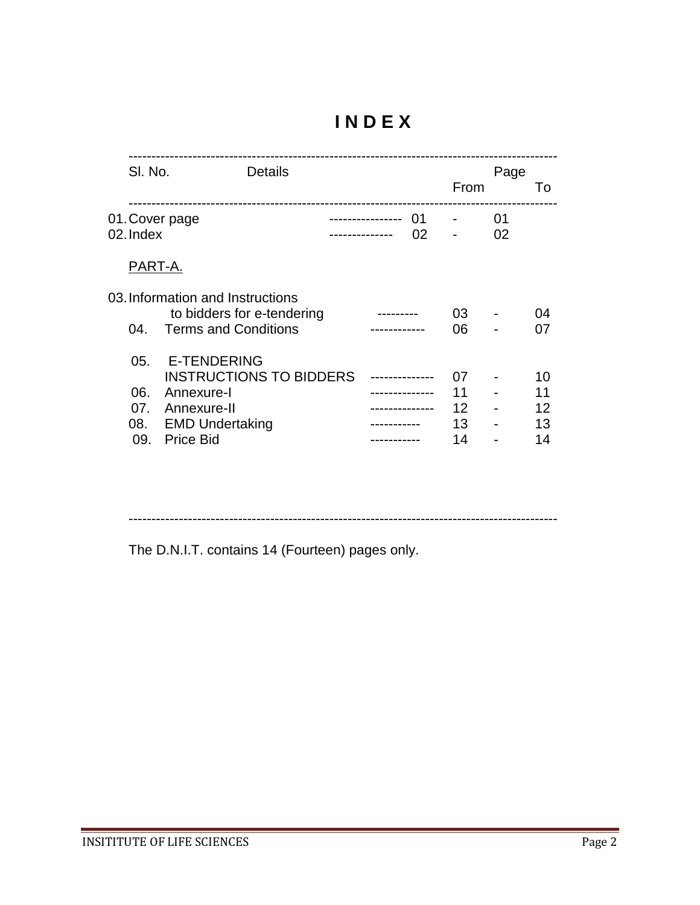# **I N D E X**

| SI. No.                         |                                                                                               | <b>Details</b>                 |  |          | From                       | Page     | $\overline{10}$      |
|---------------------------------|-----------------------------------------------------------------------------------------------|--------------------------------|--|----------|----------------------------|----------|----------------------|
| 02. Index                       | 01. Cover page                                                                                |                                |  | 01<br>02 |                            | 01<br>02 |                      |
| PART-A.                         |                                                                                               |                                |  |          |                            |          |                      |
| 04.                             | 03. Information and Instructions<br><b>Terms and Conditions</b>                               | to bidders for e-tendering     |  |          | 03<br>06                   |          | 04<br>07             |
| 05.<br>06.<br>07.<br>08.<br>09. | <b>E-TENDERING</b><br>Annexure-I<br>Annexure-II<br><b>EMD Undertaking</b><br><b>Price Bid</b> | <b>INSTRUCTIONS TO BIDDERS</b> |  |          | 07<br>11<br>12<br>13<br>14 |          | 10<br>12<br>13<br>14 |
|                                 |                                                                                               |                                |  |          |                            |          |                      |

----------------------------------------------------------------------------------------------

The D.N.I.T. contains 14 (Fourteen) pages only.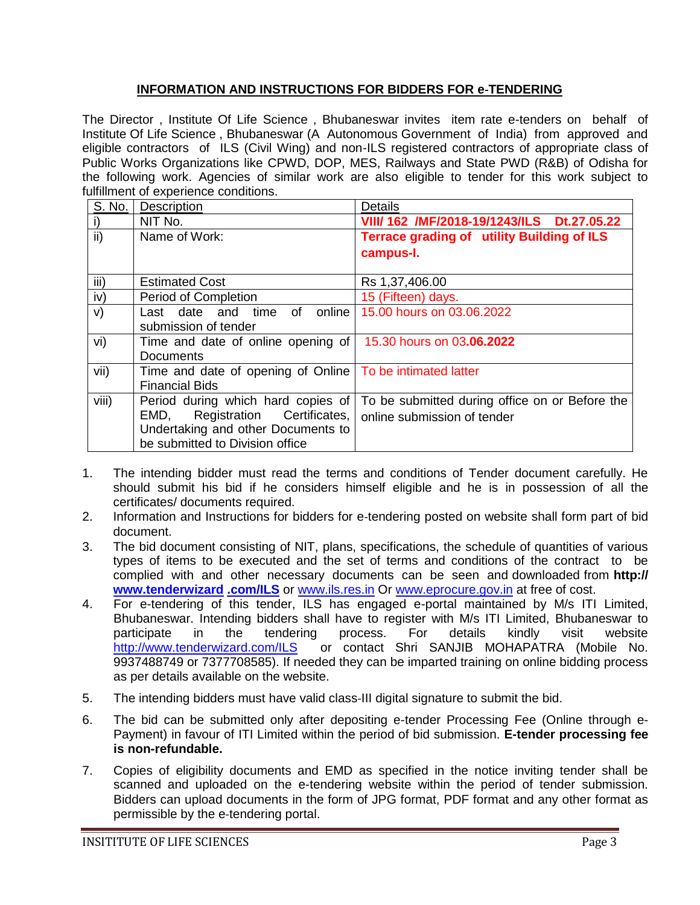## **INFORMATION AND INSTRUCTIONS FOR BIDDERS FOR e‐TENDERING**

The Director , Institute Of Life Science , Bhubaneswar invites item rate e-tenders on behalf of Institute Of Life Science , Bhubaneswar (A Autonomous Government of India) from approved and eligible contractors of ILS (Civil Wing) and non-ILS registered contractors of appropriate class of Public Works Organizations like CPWD, DOP, MES, Railways and State PWD (R&B) of Odisha for the following work. Agencies of similar work are also eligible to tender for this work subject to fulfillment of experience conditions.

| S. No.          | <b>Description</b>                                             | <b>Details</b>                                    |
|-----------------|----------------------------------------------------------------|---------------------------------------------------|
| i)              | NIT No.                                                        | VIII/ 162 /MF/2018-19/1243/ILS Dt.27.05.22        |
| $\overline{ii}$ | Name of Work:                                                  | <b>Terrace grading of utility Building of ILS</b> |
|                 |                                                                | campus-I.                                         |
| iii)            | <b>Estimated Cost</b>                                          | Rs 1,37,406.00                                    |
| iv)             | Period of Completion                                           | 15 (Fifteen) days.                                |
| V)              | online<br>of<br>Last date and<br>time                          | 15.00 hours on 03.06.2022                         |
|                 | submission of tender                                           |                                                   |
| vi)             | Time and date of online opening of   15.30 hours on 03.06.2022 |                                                   |
|                 | Documents                                                      |                                                   |
| vii)            | Time and date of opening of Online   To be intimated latter    |                                                   |
|                 | <b>Financial Bids</b>                                          |                                                   |
| viii)           | Period during which hard copies of                             | To be submitted during office on or Before the    |
|                 | Registration Certificates,<br>EMD,                             | online submission of tender                       |
|                 | Undertaking and other Documents to                             |                                                   |
|                 | be submitted to Division office                                |                                                   |

- 1. The intending bidder must read the terms and conditions of Tender document carefully. He should submit his bid if he considers himself eligible and he is in possession of all the certificates/ documents required.
- 2. Information and Instructions for bidders for e-tendering posted on website shall form part of bid document.
- 3. The bid document consisting of NIT, plans, specifications, the schedule of quantities of various types of items to be executed and the set of terms and conditions of the contract to be complied with and other necessary documents can be seen and downloaded from **http:// [www.tenderwizard](http://www.tenderwizard/) .com/ILS** or [www.ils.res.in](http://www.ils.res.in/) Or [www.eprocure.gov.in](http://www.eprocure.gov.in/) at free of cost.
- 4. For e-tendering of this tender, ILS has engaged e-portal maintained by M/s ITI Limited, Bhubaneswar. Intending bidders shall have to register with M/s ITI Limited, Bhubaneswar to participate in the tendering process. For details kindly visit website <http://www.tenderwizard.com/ILS>or contact Shri SANJIB MOHAPATRA (Mobile No. 9937488749 or 7377708585). If needed they can be imparted training on online bidding process as per details available on the website.
- 5. The intending bidders must have valid class-III digital signature to submit the bid.
- 6. The bid can be submitted only after depositing e-tender Processing Fee (Online through e-Payment) in favour of ITI Limited within the period of bid submission. **E-tender processing fee is non-refundable.**
- 7. Copies of eligibility documents and EMD as specified in the notice inviting tender shall be scanned and uploaded on the e-tendering website within the period of tender submission. Bidders can upload documents in the form of JPG format, PDF format and any other format as permissible by the e‐tendering portal.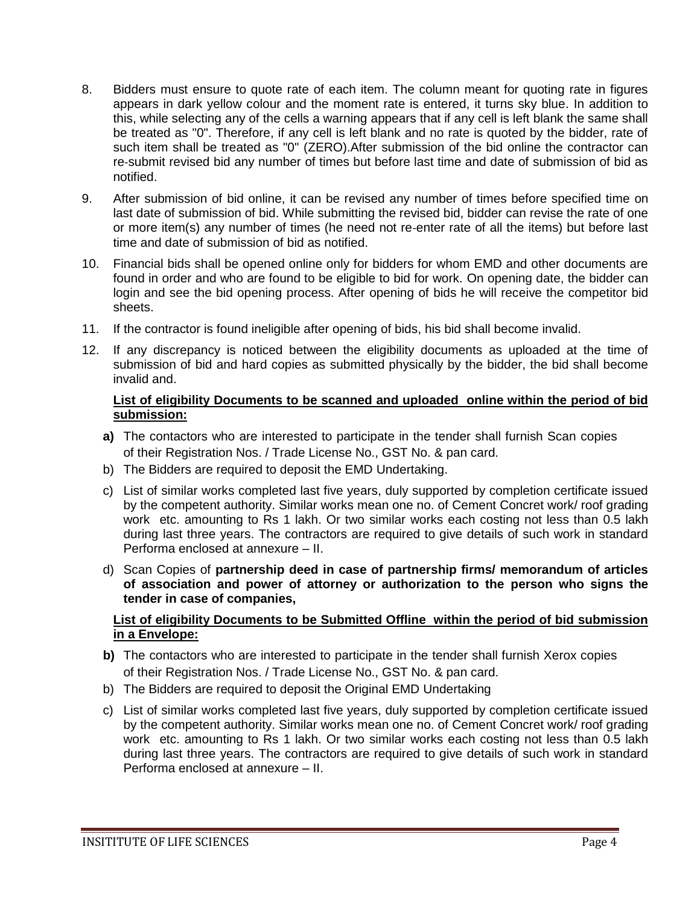- 8. Bidders must ensure to quote rate of each item. The column meant for quoting rate in figures appears in dark yellow colour and the moment rate is entered, it turns sky blue. In addition to this, while selecting any of the cells a warning appears that if any cell is left blank the same shall be treated as "0". Therefore, if any cell is left blank and no rate is quoted by the bidder, rate of such item shall be treated as "0" (ZERO).After submission of the bid online the contractor can re-submit revised bid any number of times but before last time and date of submission of bid as notified.
- 9. After submission of bid online, it can be revised any number of times before specified time on last date of submission of bid. While submitting the revised bid, bidder can revise the rate of one or more item(s) any number of times (he need not re-enter rate of all the items) but before last time and date of submission of bid as notified.
- 10. Financial bids shall be opened online only for bidders for whom EMD and other documents are found in order and who are found to be eligible to bid for work. On opening date, the bidder can login and see the bid opening process. After opening of bids he will receive the competitor bid sheets.
- 11. If the contractor is found ineligible after opening of bids, his bid shall become invalid.
- 12. If any discrepancy is noticed between the eligibility documents as uploaded at the time of submission of bid and hard copies as submitted physically by the bidder, the bid shall become invalid and.

#### **List of eligibility Documents to be scanned and uploaded online within the period of bid submission:**

- **a)** The contactors who are interested to participate in the tender shall furnish Scan copies of their Registration Nos. / Trade License No., GST No. & pan card.
- b) The Bidders are required to deposit the EMD Undertaking.
- c) List of similar works completed last five years, duly supported by completion certificate issued by the competent authority. Similar works mean one no. of Cement Concret work/ roof grading work etc. amounting to Rs 1 lakh. Or two similar works each costing not less than 0.5 lakh during last three years. The contractors are required to give details of such work in standard Performa enclosed at annexure – II.
- d) Scan Copies of **partnership deed in case of partnership firms/ memorandum of articles of association and power of attorney or authorization to the person who signs the tender in case of companies,**

### **List of eligibility Documents to be Submitted Offline within the period of bid submission in a Envelope:**

- **b)** The contactors who are interested to participate in the tender shall furnish Xerox copies of their Registration Nos. / Trade License No., GST No. & pan card.
- b) The Bidders are required to deposit the Original EMD Undertaking
- c) List of similar works completed last five years, duly supported by completion certificate issued by the competent authority. Similar works mean one no. of Cement Concret work/ roof grading work etc. amounting to Rs 1 lakh. Or two similar works each costing not less than 0.5 lakh during last three years. The contractors are required to give details of such work in standard Performa enclosed at annexure – II.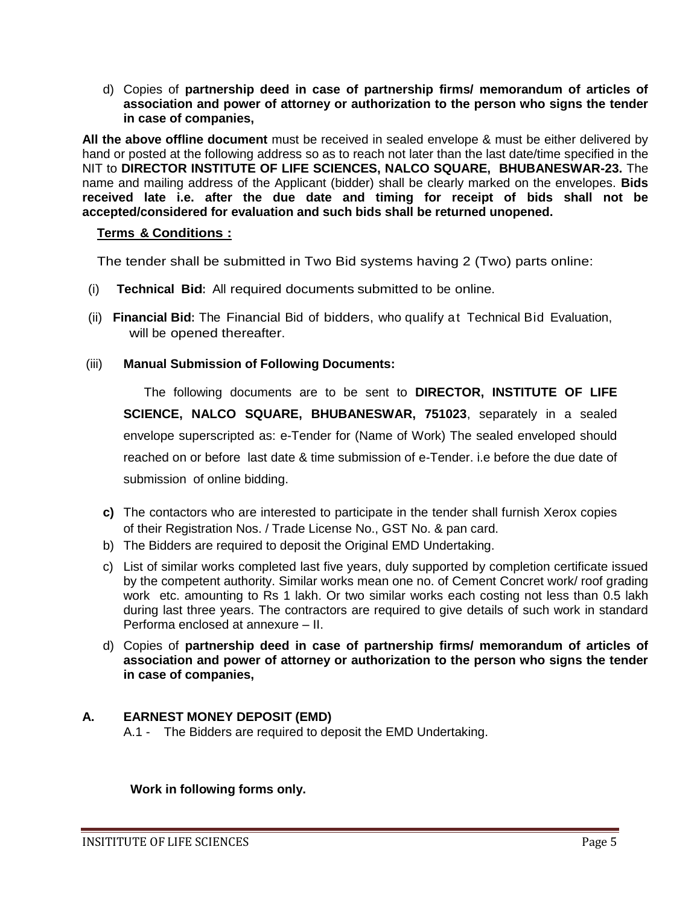d) Copies of **partnership deed in case of partnership firms/ memorandum of articles of association and power of attorney or authorization to the person who signs the tender in case of companies,** 

**All the above offline document** must be received in sealed envelope & must be either delivered by hand or posted at the following address so as to reach not later than the last date/time specified in the NIT to **DIRECTOR INSTITUTE OF LIFE SCIENCES, NALCO SQUARE, BHUBANESWAR-23.** The name and mailing address of the Applicant (bidder) shall be clearly marked on the envelopes. **Bids received late i.e. after the due date and timing for receipt of bids shall not be accepted/considered for evaluation and such bids shall be returned unopened.**

### **Terms & Conditions :**

The tender shall be submitted in Two Bid systems having 2 (Two) parts online:

- (i) **Technical Bid:** All required documents submitted to be online.
- (ii) **Financial Bid:** The Financial Bid of bidders, who qualify at Technical Bid Evaluation, will be opened thereafter.

### (iii) **Manual Submission of Following Documents:**

The following documents are to be sent to **DIRECTOR, INSTITUTE OF LIFE SCIENCE, NALCO SQUARE, BHUBANESWAR, 751023**, separately in a sealed envelope superscripted as: e-Tender for (Name of Work) The sealed enveloped should reached on or before last date & time submission of e-Tender. i.e before the due date of submission of online bidding.

- **c)** The contactors who are interested to participate in the tender shall furnish Xerox copies of their Registration Nos. / Trade License No., GST No. & pan card.
- b) The Bidders are required to deposit the Original EMD Undertaking.
- c) List of similar works completed last five years, duly supported by completion certificate issued by the competent authority. Similar works mean one no. of Cement Concret work/ roof grading work etc. amounting to Rs 1 lakh. Or two similar works each costing not less than 0.5 lakh during last three years. The contractors are required to give details of such work in standard Performa enclosed at annexure – II.
- d) Copies of **partnership deed in case of partnership firms/ memorandum of articles of association and power of attorney or authorization to the person who signs the tender in case of companies,**

## **A. EARNEST MONEY DEPOSIT (EMD)**

A.1 - The Bidders are required to deposit the EMD Undertaking.

 **Work in following forms only.**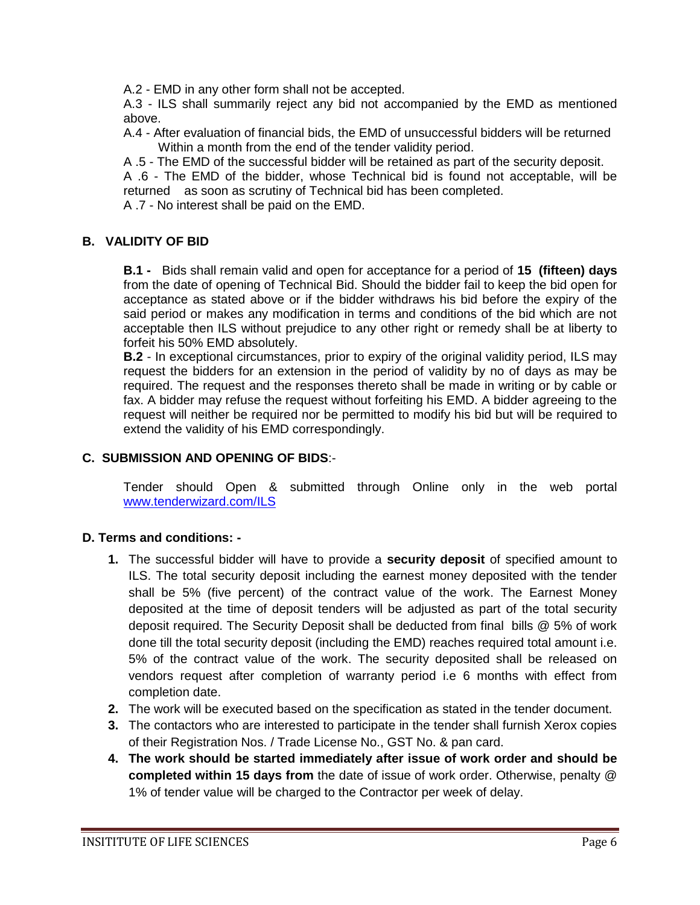A.2 - EMD in any other form shall not be accepted.

A.3 - ILS shall summarily reject any bid not accompanied by the EMD as mentioned above.

A.4 - After evaluation of financial bids, the EMD of unsuccessful bidders will be returned Within a month from the end of the tender validity period.

A .5 - The EMD of the successful bidder will be retained as part of the security deposit.

A .6 - The EMD of the bidder, whose Technical bid is found not acceptable, will be returned as soon as scrutiny of Technical bid has been completed.

A .7 - No interest shall be paid on the EMD.

## **B. VALIDITY OF BID**

**B.1 -** Bids shall remain valid and open for acceptance for a period of **15 (fifteen) days**  from the date of opening of Technical Bid. Should the bidder fail to keep the bid open for acceptance as stated above or if the bidder withdraws his bid before the expiry of the said period or makes any modification in terms and conditions of the bid which are not acceptable then ILS without prejudice to any other right or remedy shall be at liberty to forfeit his 50% EMD absolutely.

**B.2** - In exceptional circumstances, prior to expiry of the original validity period, ILS may request the bidders for an extension in the period of validity by no of days as may be required. The request and the responses thereto shall be made in writing or by cable or fax. A bidder may refuse the request without forfeiting his EMD. A bidder agreeing to the request will neither be required nor be permitted to modify his bid but will be required to extend the validity of his EMD correspondingly.

## **C. SUBMISSION AND OPENING OF BIDS**:-

Tender should Open & submitted through Online only in the web portal [www.tenderwizard.com/ILS](http://www.tenderwizard.com/ILS)

## **D. Terms and conditions: -**

- **1.** The successful bidder will have to provide a **security deposit** of specified amount to ILS. The total security deposit including the earnest money deposited with the tender shall be 5% (five percent) of the contract value of the work. The Earnest Money deposited at the time of deposit tenders will be adjusted as part of the total security deposit required. The Security Deposit shall be deducted from final bills @ 5% of work done till the total security deposit (including the EMD) reaches required total amount i.e. 5% of the contract value of the work. The security deposited shall be released on vendors request after completion of warranty period i.e 6 months with effect from completion date.
- **2.** The work will be executed based on the specification as stated in the tender document.
- **3.** The contactors who are interested to participate in the tender shall furnish Xerox copies of their Registration Nos. / Trade License No., GST No. & pan card.
- **4. The work should be started immediately after issue of work order and should be completed within 15 days from** the date of issue of work order. Otherwise, penalty @ 1% of tender value will be charged to the Contractor per week of delay.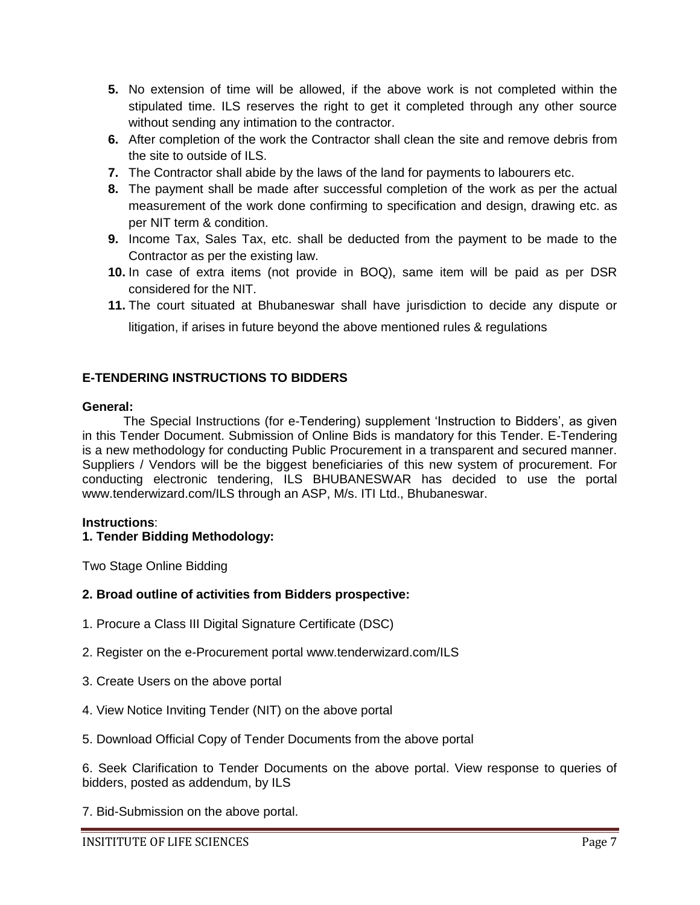- **5.** No extension of time will be allowed, if the above work is not completed within the stipulated time. ILS reserves the right to get it completed through any other source without sending any intimation to the contractor.
- **6.** After completion of the work the Contractor shall clean the site and remove debris from the site to outside of ILS.
- **7.** The Contractor shall abide by the laws of the land for payments to labourers etc.
- **8.** The payment shall be made after successful completion of the work as per the actual measurement of the work done confirming to specification and design, drawing etc. as per NIT term & condition.
- **9.** Income Tax, Sales Tax, etc. shall be deducted from the payment to be made to the Contractor as per the existing law.
- **10.** In case of extra items (not provide in BOQ), same item will be paid as per DSR considered for the NIT.
- **11.** The court situated at Bhubaneswar shall have jurisdiction to decide any dispute or litigation, if arises in future beyond the above mentioned rules & regulations

## **E-TENDERING INSTRUCTIONS TO BIDDERS**

#### **General:**

The Special Instructions (for e-Tendering) supplement "Instruction to Bidders", as given in this Tender Document. Submission of Online Bids is mandatory for this Tender. E-Tendering is a new methodology for conducting Public Procurement in a transparent and secured manner. Suppliers / Vendors will be the biggest beneficiaries of this new system of procurement. For conducting electronic tendering, ILS BHUBANESWAR has decided to use the portal www.tenderwizard.com/ILS through an ASP, M/s. ITI Ltd., Bhubaneswar.

#### **Instructions**:

#### **1. Tender Bidding Methodology:**

Two Stage Online Bidding

#### **2. Broad outline of activities from Bidders prospective:**

- 1. Procure a Class III Digital Signature Certificate (DSC)
- 2. Register on the e-Procurement portal www.tenderwizard.com/ILS
- 3. Create Users on the above portal
- 4. View Notice Inviting Tender (NIT) on the above portal
- 5. Download Official Copy of Tender Documents from the above portal

6. Seek Clarification to Tender Documents on the above portal. View response to queries of bidders, posted as addendum, by ILS

7. Bid-Submission on the above portal.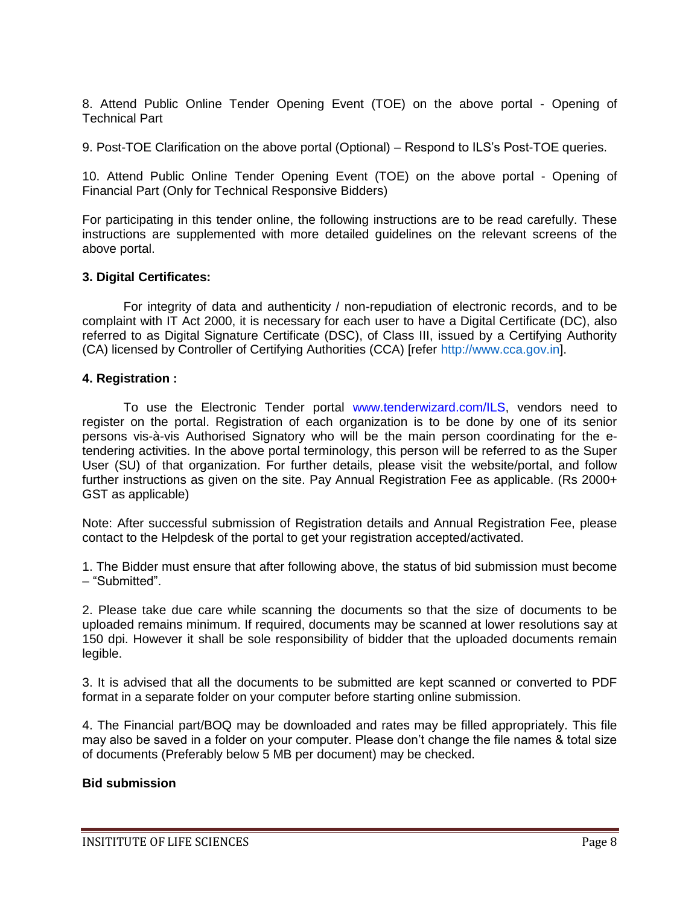8. Attend Public Online Tender Opening Event (TOE) on the above portal - Opening of Technical Part

9. Post-TOE Clarification on the above portal (Optional) – Respond to ILS"s Post-TOE queries.

10. Attend Public Online Tender Opening Event (TOE) on the above portal - Opening of Financial Part (Only for Technical Responsive Bidders)

For participating in this tender online, the following instructions are to be read carefully. These instructions are supplemented with more detailed guidelines on the relevant screens of the above portal.

#### **3. Digital Certificates:**

For integrity of data and authenticity / non-repudiation of electronic records, and to be complaint with IT Act 2000, it is necessary for each user to have a Digital Certificate (DC), also referred to as Digital Signature Certificate (DSC), of Class III, issued by a Certifying Authority (CA) licensed by Controller of Certifying Authorities (CCA) [refer http://www.cca.gov.in].

#### **4. Registration :**

To use the Electronic Tender portal www.tenderwizard.com/ILS, vendors need to register on the portal. Registration of each organization is to be done by one of its senior persons vis-à-vis Authorised Signatory who will be the main person coordinating for the etendering activities. In the above portal terminology, this person will be referred to as the Super User (SU) of that organization. For further details, please visit the website/portal, and follow further instructions as given on the site. Pay Annual Registration Fee as applicable. (Rs 2000+ GST as applicable)

Note: After successful submission of Registration details and Annual Registration Fee, please contact to the Helpdesk of the portal to get your registration accepted/activated.

1. The Bidder must ensure that after following above, the status of bid submission must become – "Submitted".

2. Please take due care while scanning the documents so that the size of documents to be uploaded remains minimum. If required, documents may be scanned at lower resolutions say at 150 dpi. However it shall be sole responsibility of bidder that the uploaded documents remain legible.

3. It is advised that all the documents to be submitted are kept scanned or converted to PDF format in a separate folder on your computer before starting online submission.

4. The Financial part/BOQ may be downloaded and rates may be filled appropriately. This file may also be saved in a folder on your computer. Please don"t change the file names & total size of documents (Preferably below 5 MB per document) may be checked.

#### **Bid submission**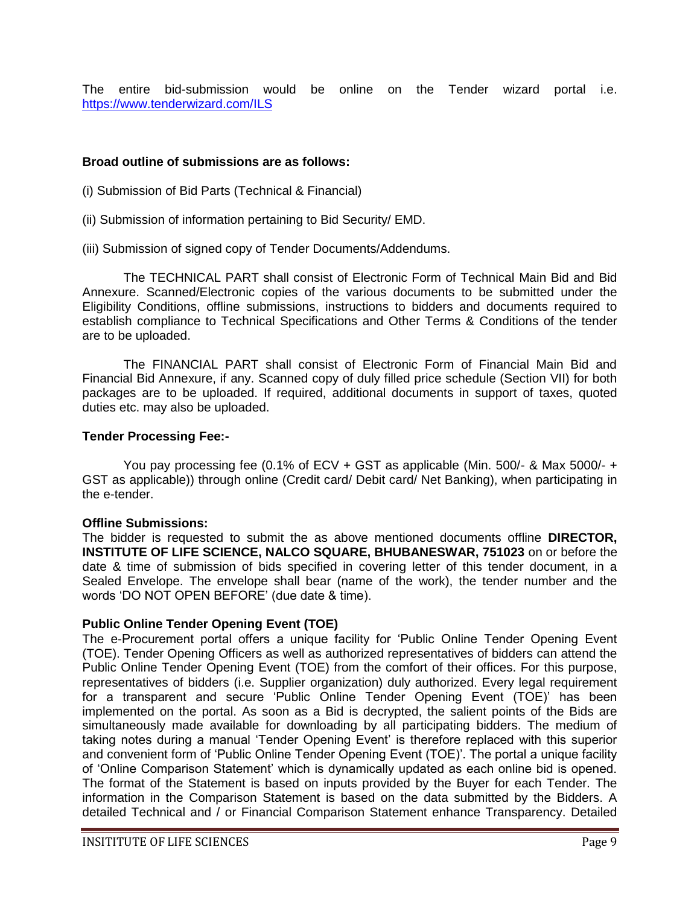The entire bid-submission would be online on the Tender wizard portal i.e. <https://www.tenderwizard.com/ILS>

#### **Broad outline of submissions are as follows:**

- (i) Submission of Bid Parts (Technical & Financial)
- (ii) Submission of information pertaining to Bid Security/ EMD.
- (iii) Submission of signed copy of Tender Documents/Addendums.

The TECHNICAL PART shall consist of Electronic Form of Technical Main Bid and Bid Annexure. Scanned/Electronic copies of the various documents to be submitted under the Eligibility Conditions, offline submissions, instructions to bidders and documents required to establish compliance to Technical Specifications and Other Terms & Conditions of the tender are to be uploaded.

The FINANCIAL PART shall consist of Electronic Form of Financial Main Bid and Financial Bid Annexure, if any. Scanned copy of duly filled price schedule (Section VII) for both packages are to be uploaded. If required, additional documents in support of taxes, quoted duties etc. may also be uploaded.

#### **Tender Processing Fee:-**

You pay processing fee (0.1% of ECV + GST as applicable (Min. 500/- & Max 5000/- + GST as applicable)) through online (Credit card/ Debit card/ Net Banking), when participating in the e-tender.

#### **Offline Submissions:**

The bidder is requested to submit the as above mentioned documents offline **DIRECTOR, INSTITUTE OF LIFE SCIENCE, NALCO SQUARE, BHUBANESWAR, 751023** on or before the date & time of submission of bids specified in covering letter of this tender document, in a Sealed Envelope. The envelope shall bear (name of the work), the tender number and the words "DO NOT OPEN BEFORE" (due date & time).

#### **Public Online Tender Opening Event (TOE)**

The e-Procurement portal offers a unique facility for "Public Online Tender Opening Event (TOE). Tender Opening Officers as well as authorized representatives of bidders can attend the Public Online Tender Opening Event (TOE) from the comfort of their offices. For this purpose, representatives of bidders (i.e. Supplier organization) duly authorized. Every legal requirement for a transparent and secure "Public Online Tender Opening Event (TOE)" has been implemented on the portal. As soon as a Bid is decrypted, the salient points of the Bids are simultaneously made available for downloading by all participating bidders. The medium of taking notes during a manual "Tender Opening Event" is therefore replaced with this superior and convenient form of 'Public Online Tender Opening Event (TOE)'. The portal a unique facility of "Online Comparison Statement" which is dynamically updated as each online bid is opened. The format of the Statement is based on inputs provided by the Buyer for each Tender. The information in the Comparison Statement is based on the data submitted by the Bidders. A detailed Technical and / or Financial Comparison Statement enhance Transparency. Detailed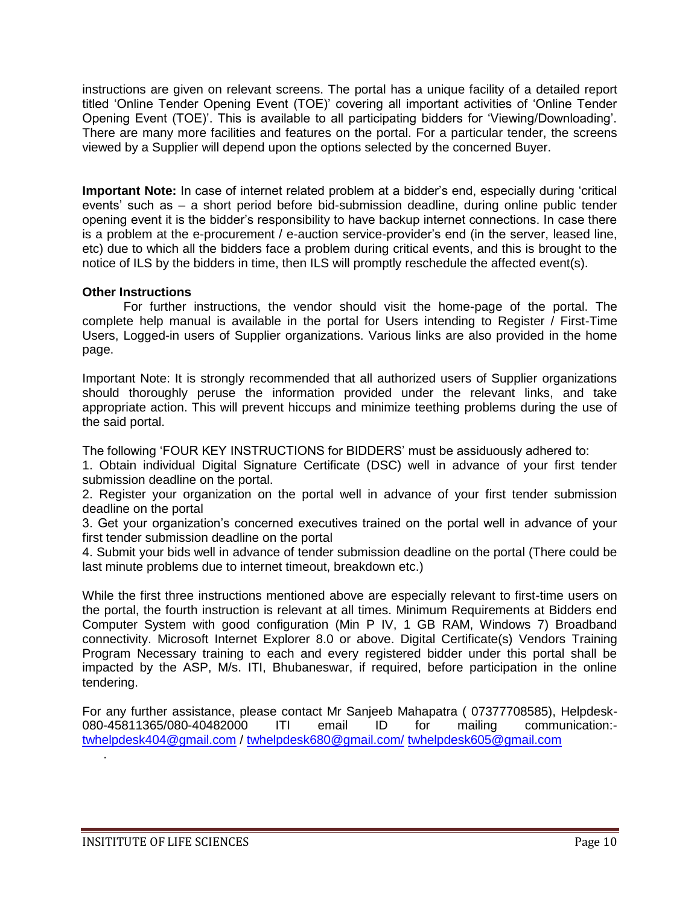instructions are given on relevant screens. The portal has a unique facility of a detailed report titled "Online Tender Opening Event (TOE)" covering all important activities of "Online Tender Opening Event (TOE)'. This is available to all participating bidders for 'Viewing/Downloading'. There are many more facilities and features on the portal. For a particular tender, the screens viewed by a Supplier will depend upon the options selected by the concerned Buyer.

**Important Note:** In case of internet related problem at a bidder"s end, especially during "critical events" such as – a short period before bid-submission deadline, during online public tender opening event it is the bidder"s responsibility to have backup internet connections. In case there is a problem at the e-procurement / e-auction service-provider's end (in the server, leased line, etc) due to which all the bidders face a problem during critical events, and this is brought to the notice of ILS by the bidders in time, then ILS will promptly reschedule the affected event(s).

#### **Other Instructions**

For further instructions, the vendor should visit the home-page of the portal. The complete help manual is available in the portal for Users intending to Register / First-Time Users, Logged-in users of Supplier organizations. Various links are also provided in the home page.

Important Note: It is strongly recommended that all authorized users of Supplier organizations should thoroughly peruse the information provided under the relevant links, and take appropriate action. This will prevent hiccups and minimize teething problems during the use of the said portal.

The following "FOUR KEY INSTRUCTIONS for BIDDERS" must be assiduously adhered to:

1. Obtain individual Digital Signature Certificate (DSC) well in advance of your first tender submission deadline on the portal.

2. Register your organization on the portal well in advance of your first tender submission deadline on the portal

3. Get your organization"s concerned executives trained on the portal well in advance of your first tender submission deadline on the portal

4. Submit your bids well in advance of tender submission deadline on the portal (There could be last minute problems due to internet timeout, breakdown etc.)

While the first three instructions mentioned above are especially relevant to first-time users on the portal, the fourth instruction is relevant at all times. Minimum Requirements at Bidders end Computer System with good configuration (Min P IV, 1 GB RAM, Windows 7) Broadband connectivity. Microsoft Internet Explorer 8.0 or above. Digital Certificate(s) Vendors Training Program Necessary training to each and every registered bidder under this portal shall be impacted by the ASP, M/s. ITI, Bhubaneswar, if required, before participation in the online tendering.

For any further assistance, please contact Mr Sanjeeb Mahapatra ( 07377708585), Helpdesk-080-45811365/080-40482000 ITI email ID for mailing communication: [twhelpdesk404@gmail.com](mailto:twhelpdesk404@gmail.com) / [twhelpdesk680@gmail.com/](mailto:twhelpdesk680@gmail.com/) [twhelpdesk605@gmail.com](mailto:twhelpdesk605@gmail.com)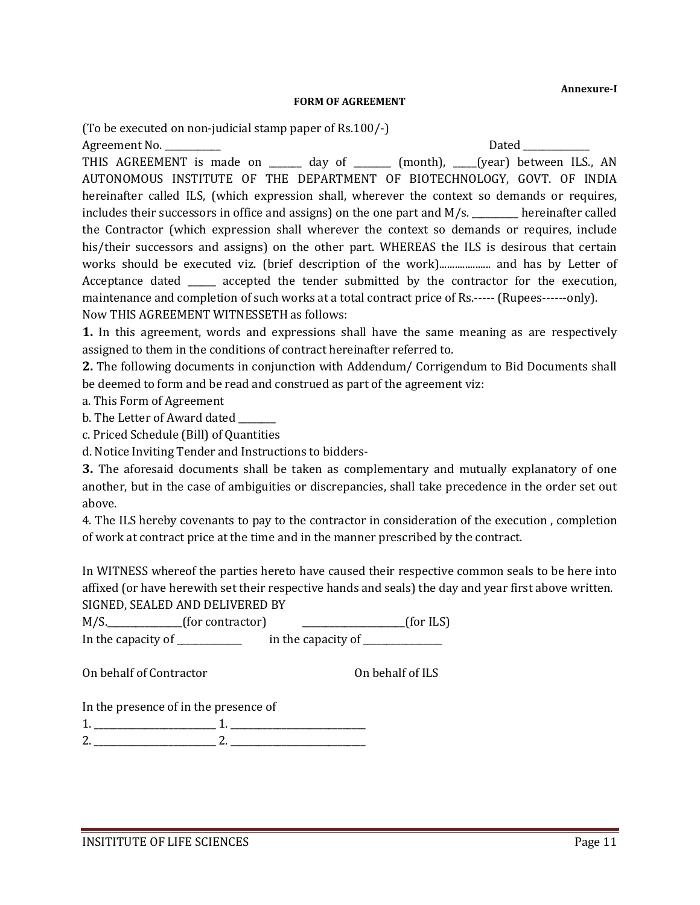**Annexure-I**

#### **FORM OF AGREEMENT**

(To be executed on non-judicial stamp paper of Rs.100/-)

Agreement No. \_\_\_\_\_\_\_\_\_\_\_\_ Dated \_\_\_\_\_\_\_\_\_\_\_\_\_\_ THIS AGREEMENT is made on \_\_\_\_\_\_ day of \_\_\_\_\_\_ (month), \_\_\_\_(year) between ILS., AN AUTONOMOUS INSTITUTE OF THE DEPARTMENT OF BIOTECHNOLOGY, GOVT. OF INDIA hereinafter called ILS, (which expression shall, wherever the context so demands or requires, includes their successors in office and assigns) on the one part and M/s. \_\_\_\_\_\_\_\_\_\_ hereinafter called the Contractor (which expression shall wherever the context so demands or requires, include his/their successors and assigns) on the other part. WHEREAS the ILS is desirous that certain works should be executed viz. (brief description of the work).................... and has by Letter of Acceptance dated \_\_\_\_\_\_ accepted the tender submitted by the contractor for the execution, maintenance and completion of such works at a total contract price of Rs.----- (Rupees------only). Now THIS AGREEMENT WITNESSETH as follows:

**1.** In this agreement, words and expressions shall have the same meaning as are respectively assigned to them in the conditions of contract hereinafter referred to.

**2.** The following documents in conjunction with Addendum/ Corrigendum to Bid Documents shall be deemed to form and be read and construed as part of the agreement viz:

a. This Form of Agreement

b. The Letter of Award dated \_\_\_\_\_\_

c. Priced Schedule (Bill) of Quantities

d. Notice Inviting Tender and Instructions to bidders-

**3.** The aforesaid documents shall be taken as complementary and mutually explanatory of one another, but in the case of ambiguities or discrepancies, shall take precedence in the order set out above.

4. The ILS hereby covenants to pay to the contractor in consideration of the execution , completion of work at contract price at the time and in the manner prescribed by the contract.

In WITNESS whereof the parties hereto have caused their respective common seals to be here into affixed (or have herewith set their respective hands and seals) the day and year first above written. SIGNED, SEALED AND DELIVERED BY

M/S.\_\_\_\_\_\_\_\_\_\_\_\_\_\_(for contractor) \_\_\_\_\_\_\_\_\_\_\_\_\_\_\_\_\_\_\_\_\_\_\_(for ILS) In the capacity of  $\frac{1}{\sqrt{1-\frac{1}{n}}}\$  in the capacity of  $\frac{1}{\sqrt{1-\frac{1}{n}}}\$ 

On behalf of Contractor **On behalf of ILS** 

In the presence of in the presence of

| _ |  |
|---|--|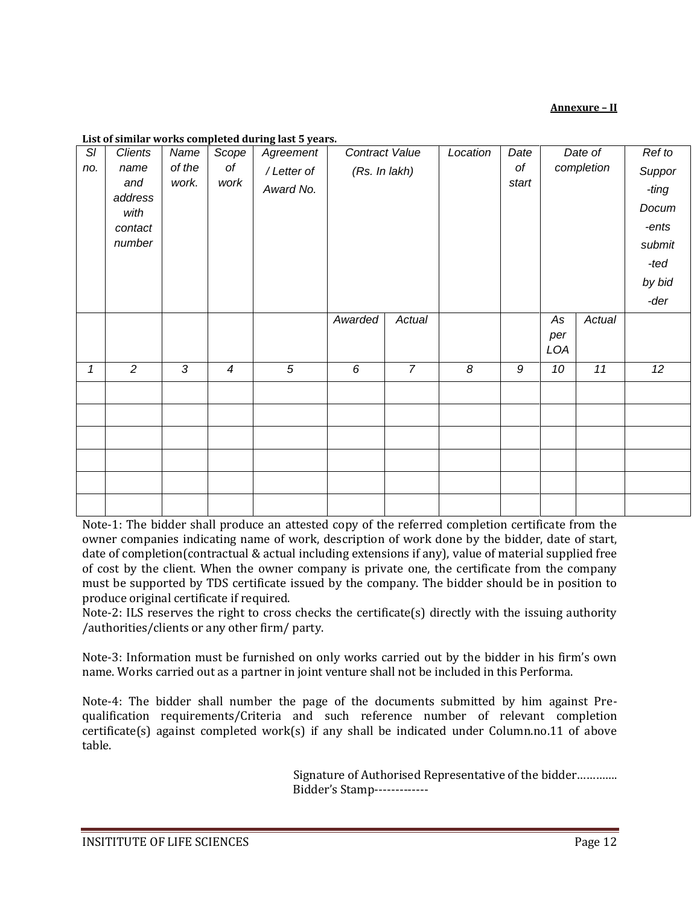#### **Annexure – II**

| SI  | <b>Clients</b>                                      | Name            | Scope          | Agreement               | Contract Value |                | Location       | Date             | Date of          |        | Ref to                                                                |
|-----|-----------------------------------------------------|-----------------|----------------|-------------------------|----------------|----------------|----------------|------------------|------------------|--------|-----------------------------------------------------------------------|
| no. | name<br>and<br>address<br>with<br>contact<br>number | of the<br>work. | оf<br>work     | /Letter of<br>Award No. | (Rs. In lakh)  |                |                | of<br>start      | completion       |        | Suppor<br>-ting<br>Docum<br>-ents<br>submit<br>-ted<br>by bid<br>-der |
|     |                                                     |                 |                |                         | Awarded        | Actual         |                |                  | As<br>per<br>LOA | Actual |                                                                       |
| 1   | $\overline{2}$                                      | $\overline{3}$  | $\overline{4}$ | $\overline{5}$          | 6              | $\overline{7}$ | $\overline{8}$ | $\boldsymbol{9}$ | 10               | 11     | $\overline{12}$                                                       |
|     |                                                     |                 |                |                         |                |                |                |                  |                  |        |                                                                       |
|     |                                                     |                 |                |                         |                |                |                |                  |                  |        |                                                                       |
|     |                                                     |                 |                |                         |                |                |                |                  |                  |        |                                                                       |
|     |                                                     |                 |                |                         |                |                |                |                  |                  |        |                                                                       |
|     |                                                     |                 |                |                         |                |                |                |                  |                  |        |                                                                       |
|     |                                                     |                 |                |                         |                |                |                |                  |                  |        |                                                                       |

#### **List of similar works completed during last 5 years.**

Note-1: The bidder shall produce an attested copy of the referred completion certificate from the owner companies indicating name of work, description of work done by the bidder, date of start, date of completion(contractual & actual including extensions if any), value of material supplied free of cost by the client. When the owner company is private one, the certificate from the company must be supported by TDS certificate issued by the company. The bidder should be in position to produce original certificate if required.

Note-2: ILS reserves the right to cross checks the certificate(s) directly with the issuing authority /authorities/clients or any other firm/ party.

Note-3: Information must be furnished on only works carried out by the bidder in his firm's own name. Works carried out as a partner in joint venture shall not be included in this Performa.

Note-4: The bidder shall number the page of the documents submitted by him against Prequalification requirements/Criteria and such reference number of relevant completion certificate(s) against completed work(s) if any shall be indicated under Column.no.11 of above table.

> Signature of Authorised Representative of the bidder…………. Bidder's Stamp-------------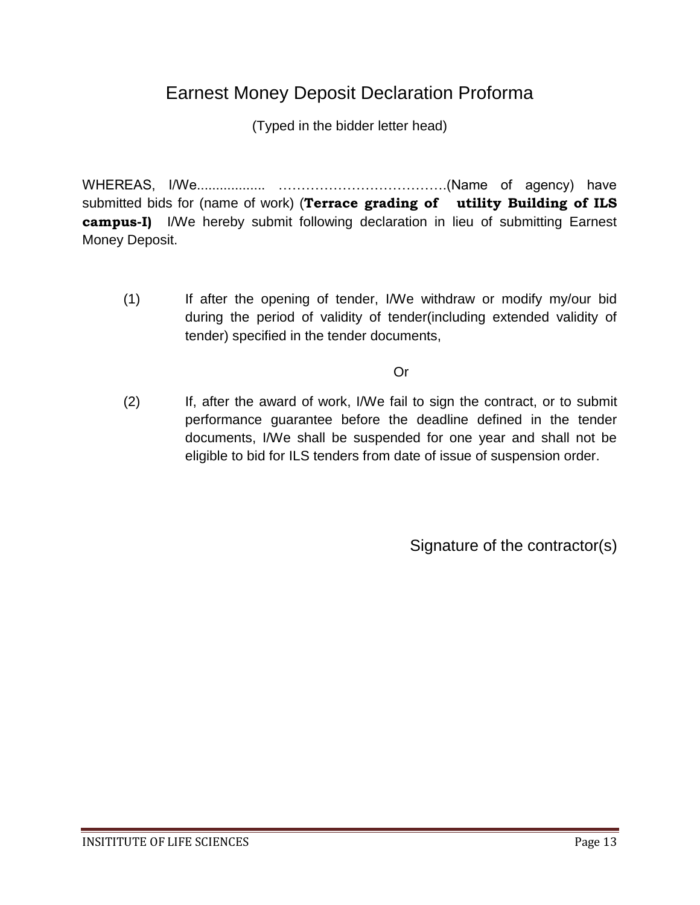## Earnest Money Deposit Declaration Proforma

(Typed in the bidder letter head)

WHEREAS, I/We.................. ……………………………….(Name of agency) have submitted bids for (name of work) (**Terrace grading of utility Building of ILS campus-I)** I/We hereby submit following declaration in lieu of submitting Earnest Money Deposit.

(1) If after the opening of tender, I/We withdraw or modify my/our bid during the period of validity of tender(including extended validity of tender) specified in the tender documents,

Or

(2) If, after the award of work, I/We fail to sign the contract, or to submit performance guarantee before the deadline defined in the tender documents, I/We shall be suspended for one year and shall not be eligible to bid for ILS tenders from date of issue of suspension order.

Signature of the contractor(s)